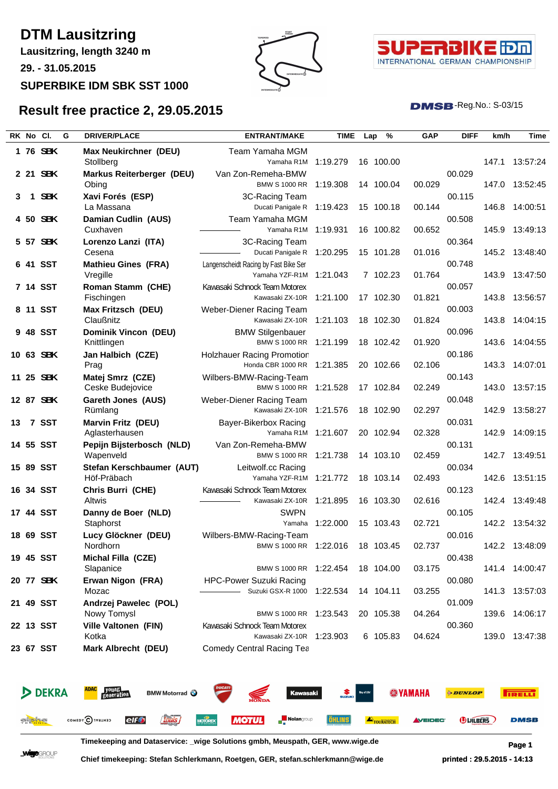# **DTM Lausitzring**

**Lausitzring, length 3240 m**

**29. - 31.05.2015**

#### **SUPERBIKE IDM SBK SST 1000**

**Result free practice 2, 29.05.2015**





**DMSB**-Reg.No.: S-03/15

#### **RK No Cl. G DRIVER/PLACE ENTRANT/MAKE TIME Lap % GAP DIFF km/h Time 1 76 SBK Max Neukirchner (DEU)** Team Yamaha MGM Stollberg Yamaha R1M 1:19.279 16 100.00 147.1 13:57:24 **2 21 SBK Markus Reiterberger (DEU)** Van Zon-Remeha-BMW Obing BMW S 1000 RR 1:19.308 14 100.04 00.029 147.0 13:52:45 00.029 **3 1 SBK Xavi Forés (ESP)** 3C-Racing Team La Massana 1:19.423 15 100.18 00.144 00.115 146.8 14:00:51 **4 50 SBK Damian Cudlin (AUS)** Team Yamaha MGM<br>Cuxhaven **Currel Custage Custage Custage Custage Custage Custage Custage Control Custage Control Control Custom C** Cuxhaven 1:19.931 16 100.82 00.652 00.508 16 100.82 00.652 145.9 13:49:13 **5 57 SBK Lorenzo Lanzi (ITA)** 3C-Racing Team Cesena 1:20.295 15 101.28 01.016 Ducati Panigale R 145.2 13:48:40 00.364 **6 41 SST Mathieu Gines (FRA)** Langenscheidt Racing by Fast Bike Ser Vregille 1:21.043 7 102.23 01.764 Yamaha YZF-R1M 143.9 13:47:50 00.748<br>143.9 **7 14 SST Roman Stamm (CHE)** Kawasaki Schnock Team Motorex Fischingen **1:21.100 17 102.30 01.821** Kawasaki ZX-10R 1:21.100 17 102.30 01.821 00.057 143.8 13:56:57 **8 11 SST Max Fritzsch (DEU)** Weber-Diener Racing Team Claußnitz 1:21.103 18 102.30 01.824 Kawasaki ZX-10R 143.8 14:04:15 00.003 **9 48 SST Dominik Vincon (DEU)** BMW Stilgenbauer Knittlingen 1:21.199 18 102.42 01.920 BMW S 1000 RR 143.6 14:04:55 00.096 **10 63 SBK Jan Halbich (CZE)** Holzhauer Racing Promotion Prag 1:21.385 20 102.66 02.106 Honda CBR 1000 RR 143.3 14:07:01 00.186 **11 25 SBK Matej Smrz (CZE)** Wilbers-BMW-Racing-Team Ceske Budejovice **1:21.528 17 102.84** 02.249 00.143 143.0 13:57:15 **12 87 SBK Gareth Jones (AUS)** Weber-Diener Racing Team Rümlang 1:21.576 18 102.90 02.297 Kawasaki ZX-10R 142.9 13:58:27 00.048 **13 7 SST Marvin Fritz (DEU)** Bayer-Bikerbox Racing Aglasterhausen 1:21.607 20 102.94 02.328 00.031 142.9 14:09:15 **14 55 SST Pepijn Bijsterbosch (NLD)** Van Zon-Remeha-BMW Wapenveld BMW S 1000 RR 1:21.738 14 103.10 02.459 142.7 13:49:51 00.131 **15 89 SST Stefan Kerschbaumer (AUT)** Leitwolf.cc Racing Höf-Präbach 1:21.772 18 103.14 02.493 Yamaha YZF-R1M 142.6 13:51:15 00.034 **16 34 SST Chris Burri (CHE)** Kawasaki Schnock Team Motorex Altwis 1:21.895 16 103.30 02.616 00.123 Kawasaki ZX-10R 1:21.895 16 103.30 02.616 142.4 13:49:48 **17 44 SST Danny de Boer (NLD)** SWPN Staphorst 1:22.000 15 103.43 02.721 00.105 Yamaha 1:22.000 15 103.43 02.721 142.2 13:54:32 **18 69 SST Lucy Glöckner (DEU)** Wilbers-BMW-Racing-Team Nordhorn **1:22.016 18 103.45 02.737** BMW S 1000 RR 1:22.016 18 103.45 02.737 00.016 142.2 13:48:09 **19 45 SST Michal Filla (CZE)** Slapanice 1:22.454 18 104.00 03.175 BMW S 1000 RR 141.4 14:00:47 00.438 **20 77 SBK Erwan Nigon (FRA)** HPC-Power Suzuki Racing Mozac **1:22.534 14 104.11 03.255** Suzuki GSX-R 1000 1:22.534 14 104.11 03.255 00.080 141.3 13:57:03 **21 49 SST Andrzej Pawelec (POL)** Nowy Tomysl 1:23.543 20 105.38 04.264 BMW S 1000 RR 139.6 14:06:17 01.009 **22 13 SST Ville Valtonen (FIN)** Kawasaki Schnock Team Motorex Kotka 1:23.903 6 105.83 04.624 Kawasaki ZX-10R 139.0 13:47:38 00.360 **23 67 SST Mark Albrecht (DEU)** Comedy Central Racing Team



**Timekeeping and Dataservice: \_wige Solutions gmbh, Meuspath, GER, www.wige.de Page 1**

**Wige**group

**Chief timekeeping: Stefan Schlerkmann, Roetgen, GER, stefan.schlerkmann@wige.de printed : 29.5.2015 - 14:13**